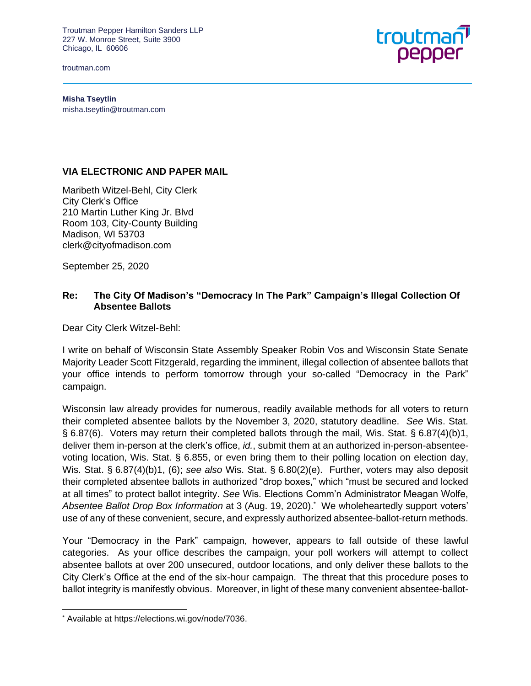Troutman Pepper Hamilton Sanders LLP 227 W. Monroe Street, Suite 3900 Chicago, IL 60606

troutman.com



**Misha Tseytlin** misha.tseytlin@troutman.com

## **VIA ELECTRONIC AND PAPER MAIL**

Maribeth Witzel-Behl, City Clerk City Clerk's Office 210 Martin Luther King Jr. Blvd Room 103, City-County Building Madison, WI 53703 clerk@cityofmadison.com

September 25, 2020

## **Re: The City Of Madison's "Democracy In The Park" Campaign's Illegal Collection Of Absentee Ballots**

Dear City Clerk Witzel-Behl:

I write on behalf of Wisconsin State Assembly Speaker Robin Vos and Wisconsin State Senate Majority Leader Scott Fitzgerald, regarding the imminent, illegal collection of absentee ballots that your office intends to perform tomorrow through your so-called "Democracy in the Park" campaign.

Wisconsin law already provides for numerous, readily available methods for all voters to return their completed absentee ballots by the November 3, 2020, statutory deadline. *See* Wis. Stat. § 6.87(6). Voters may return their completed ballots through the mail, Wis. Stat. § 6.87(4)(b)1, deliver them in-person at the clerk's office, *id.*, submit them at an authorized in-person-absenteevoting location, Wis. Stat. § 6.855, or even bring them to their polling location on election day, Wis. Stat. § 6.87(4)(b)1, (6); *see also* Wis. Stat. § 6.80(2)(e). Further, voters may also deposit their completed absentee ballots in authorized "drop boxes," which "must be secured and locked at all times" to protect ballot integrity. *See* Wis. Elections Comm'n Administrator Meagan Wolfe, Absentee Ballot Drop Box Information at 3 (Aug. 19, 2020).<sup>\*</sup> We wholeheartedly support voters' use of any of these convenient, secure, and expressly authorized absentee-ballot-return methods.

Your "Democracy in the Park" campaign, however, appears to fall outside of these lawful categories. As your office describes the campaign, your poll workers will attempt to collect absentee ballots at over 200 unsecured, outdoor locations, and only deliver these ballots to the City Clerk's Office at the end of the six-hour campaign. The threat that this procedure poses to ballot integrity is manifestly obvious. Moreover, in light of these many convenient absentee-ballot-

<sup>\*</sup> Available at https://elections.wi.gov/node/7036.